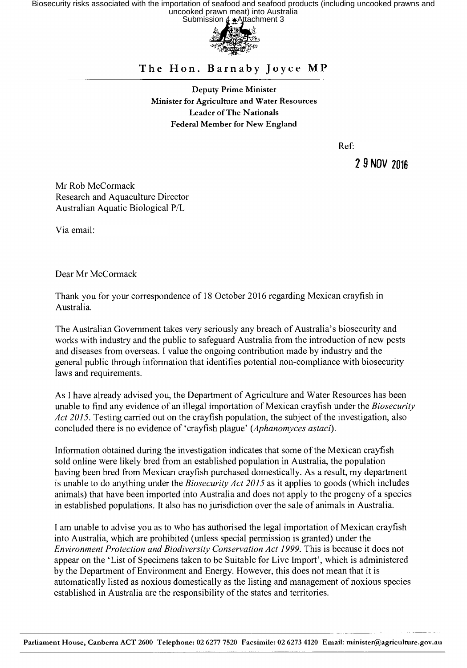Biosecurity risks associated with the importation of seafood and seafood products (including uncooked prawns and<br>uncooked prawn meat) into Australia<br>Submission 4 + Attachment 3



## The Hon. Barnaby Joyce MP

Deputy Prime Minister Minister for Agriculture and Water Resources Leader of The Nationals Federal Member for New England

Ref:

2 9 NOV 2016

Mr Rob McCormack Research and Aquaculture Director Australian Aquatic Biological P/L

Via email:

Dear Mr McCormack

Thank you for your correspondence of 18 October 2016 regarding Mexican crayfish in Australia.

The Australian Government takes very seriously any breach of Australia's biosecurity and works with industry and the public to safeguard Australia from the introduction of new pests and diseases from overseas. I value the ongoing contribution made by industry and the general public through information that identifies potential non-compliance with biosecurity laws and requirements.

As I have already advised you, the Department of Agriculture and Water Resources has been unable to find any evidence of an illegal importation of Mexican crayfish under the *Biosecurity Act 2015.* Testing carried out on the crayfish population, the subject of the investigation, also concluded there is no evidence of 'crayfish plague' *(Aphanomyces astaci).* 

Information obtained during the investigation indicates that some of the Mexican crayfish sold online were likely bred from an established population in Australia, the population having been bred from Mexican crayfish purchased domestically. As a result, my department is unable to do anything under the *Biosecurity Act 2015* as it applies to goods (which includes animals) that have been imported into Australia and does not apply to the progeny of a species in established populations. It also has no jurisdiction over the sale of animals in Australia.

I am unable to advise you as to who has authorised the legal importation of Mexican crayfish into Australia, which are prohibited (unless special permission is granted) under the *Environment Protection and Biodiversity Conservation Act 1999.* This is because it does not appear on the 'List of Specimens taken to be Suitable for Live Import', which is administered by the Department of Environment and Energy. However, this does not mean that it is automatically listed as noxious domestically as the listing and management of noxious species established in Australia are the responsibility of the states and territories.

Parliament House, Canberra ACT 2600 Telephone: 02 6277 7520 Facsimile: 02 6273 4120 Email: minister@agriculture.gov.au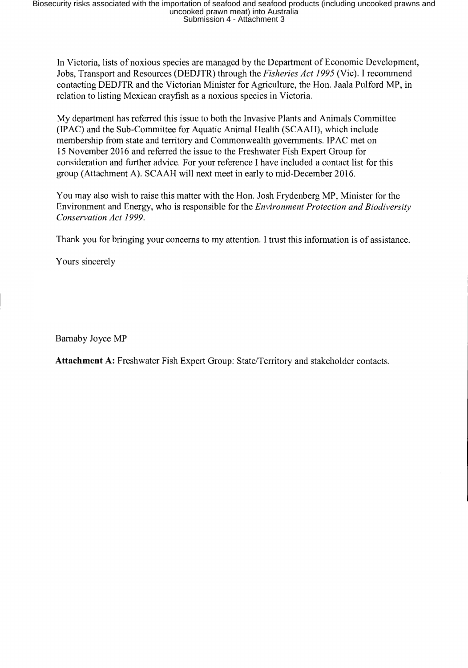In Victoria, lists of noxious species are managed by the Department of Economic Development, Jobs, Transport and Resources (DEDJTR) through the *Fisheries Act 1995* (Vic). **I** recommend contacting DEDJTR and the Victorian Minister for Agriculture, the Hon. Jaala Pulford MP, in relation to listing Mexican crayfish as a noxious species in Victoria.

My department has referred this issue to both the Invasive Plants and Animals Committee (IPAC) and the Sub-Committee for Aquatic Animal Health (SCAAH), which include membership from state and territory and Commonwealth governments. IPAC met on 15 November 2016 and referred the issue to the Freshwater Fish Expert Group for consideration and further advice. For your reference **I** have included a contact list for this group (Attachment A). SCAAH will next meet in early to mid-December 2016.

You may also wish to raise this matter with the Hon. Josh Frydenberg MP, Minister for the Environment and Energy, who is responsible for the *Environment Protection and Biodiversity Conservation Act 1999.* 

Thank you for bringing your concerns to my attention. I trust this information is of assistance.

Yours sincerely

Barnaby Joyce MP

**Attachment A:** Freshwater Fish Expert Group: State/Territory and stakeholder contacts.